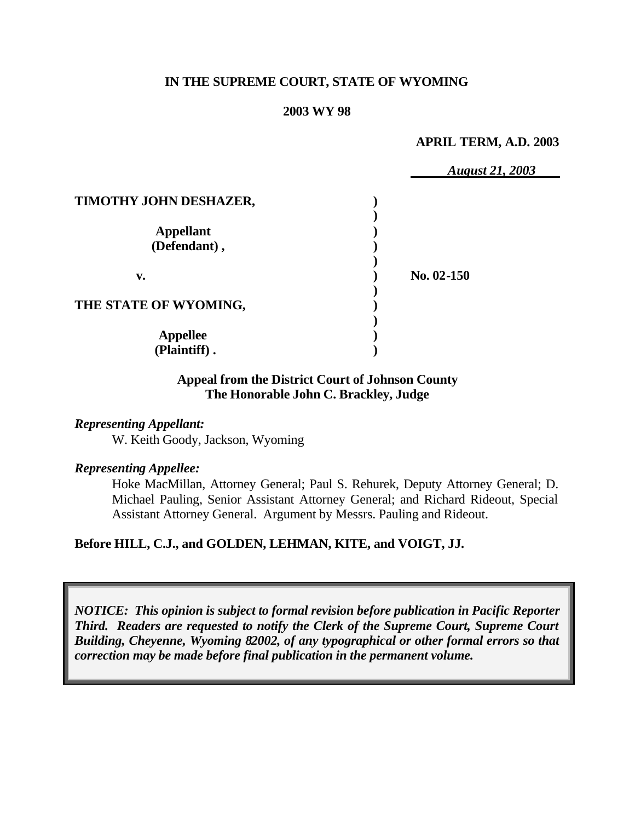## **IN THE SUPREME COURT, STATE OF WYOMING**

### **2003 WY 98**

### **APRIL TERM, A.D. 2003**

|                        | <b>August 21, 2003</b> |  |
|------------------------|------------------------|--|
|                        |                        |  |
| TIMOTHY JOHN DESHAZER, |                        |  |
|                        |                        |  |
| <b>Appellant</b>       |                        |  |
| (Defendant),           |                        |  |
|                        |                        |  |
| v.                     | $No. 02-150$           |  |
|                        |                        |  |
| THE STATE OF WYOMING,  |                        |  |
|                        |                        |  |
| <b>Appellee</b>        |                        |  |
| (Plaintiff).           |                        |  |

## **Appeal from the District Court of Johnson County The Honorable John C. Brackley, Judge**

### *Representing Appellant:*

W. Keith Goody, Jackson, Wyoming

## *Representing Appellee:*

Hoke MacMillan, Attorney General; Paul S. Rehurek, Deputy Attorney General; D. Michael Pauling, Senior Assistant Attorney General; and Richard Rideout, Special Assistant Attorney General. Argument by Messrs. Pauling and Rideout.

## **Before HILL, C.J., and GOLDEN, LEHMAN, KITE, and VOIGT, JJ.**

*NOTICE: This opinion is subject to formal revision before publication in Pacific Reporter Third. Readers are requested to notify the Clerk of the Supreme Court, Supreme Court Building, Cheyenne, Wyoming 82002, of any typographical or other formal errors so that correction may be made before final publication in the permanent volume.*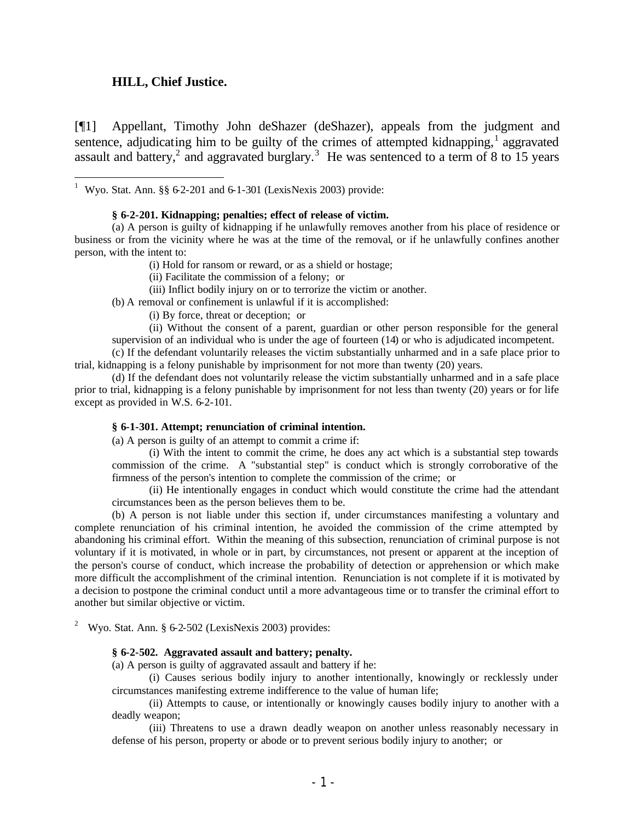### **HILL, Chief Justice.**

[¶1] Appellant, Timothy John deShazer (deShazer), appeals from the judgment and sentence, adjudicating him to be guilty of the crimes of attempted kidnapping, $<sup>1</sup>$  aggravated</sup> assault and battery,<sup>2</sup> and aggravated burglary.<sup>3</sup> He was sentenced to a term of 8 to 15 years

<sup>1</sup> Wyo. Stat. Ann. §§ 6-2-201 and 6-1-301 (LexisNexis 2003) provide:

#### **§ 6-2-201. Kidnapping; penalties; effect of release of victim.**

(a) A person is guilty of kidnapping if he unlawfully removes another from his place of residence or business or from the vicinity where he was at the time of the removal, or if he unlawfully confines another person, with the intent to:

(i) Hold for ransom or reward, or as a shield or hostage;

(ii) Facilitate the commission of a felony; or

(iii) Inflict bodily injury on or to terrorize the victim or another.

(b) A removal or confinement is unlawful if it is accomplished:

(i) By force, threat or deception; or

(ii) Without the consent of a parent, guardian or other person responsible for the general supervision of an individual who is under the age of fourteen (14) or who is adjudicated incompetent.

(c) If the defendant voluntarily releases the victim substantially unharmed and in a safe place prior to trial, kidnapping is a felony punishable by imprisonment for not more than twenty (20) years.

(d) If the defendant does not voluntarily release the victim substantially unharmed and in a safe place prior to trial, kidnapping is a felony punishable by imprisonment for not less than twenty (20) years or for life except as provided in W.S. 6-2-101.

#### **§ 6-1-301. Attempt; renunciation of criminal intention.**

(a) A person is guilty of an attempt to commit a crime if:

(i) With the intent to commit the crime, he does any act which is a substantial step towards commission of the crime. A "substantial step" is conduct which is strongly corroborative of the firmness of the person's intention to complete the commission of the crime; or

(ii) He intentionally engages in conduct which would constitute the crime had the attendant circumstances been as the person believes them to be.

(b) A person is not liable under this section if, under circumstances manifesting a voluntary and complete renunciation of his criminal intention, he avoided the commission of the crime attempted by abandoning his criminal effort. Within the meaning of this subsection, renunciation of criminal purpose is not voluntary if it is motivated, in whole or in part, by circumstances, not present or apparent at the inception of the person's course of conduct, which increase the probability of detection or apprehension or which make more difficult the accomplishment of the criminal intention. Renunciation is not complete if it is motivated by a decision to postpone the criminal conduct until a more advantageous time or to transfer the criminal effort to another but similar objective or victim.

<sup>2</sup> Wyo. Stat. Ann. § 6-2-502 (LexisNexis 2003) provides:

#### **§ 6-2-502. Aggravated assault and battery; penalty.**

(a) A person is guilty of aggravated assault and battery if he:

(i) Causes serious bodily injury to another intentionally, knowingly or recklessly under circumstances manifesting extreme indifference to the value of human life;

(ii) Attempts to cause, or intentionally or knowingly causes bodily injury to another with a deadly weapon;

(iii) Threatens to use a drawn deadly weapon on another unless reasonably necessary in defense of his person, property or abode or to prevent serious bodily injury to another; or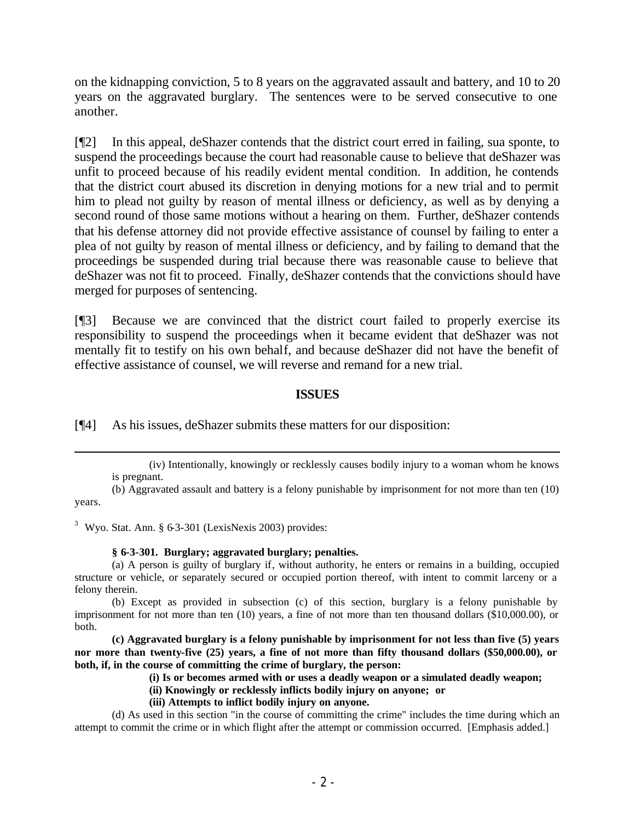on the kidnapping conviction, 5 to 8 years on the aggravated assault and battery, and 10 to 20 years on the aggravated burglary. The sentences were to be served consecutive to one another.

[¶2] In this appeal, deShazer contends that the district court erred in failing, sua sponte, to suspend the proceedings because the court had reasonable cause to believe that deShazer was unfit to proceed because of his readily evident mental condition. In addition, he contends that the district court abused its discretion in denying motions for a new trial and to permit him to plead not guilty by reason of mental illness or deficiency, as well as by denying a second round of those same motions without a hearing on them. Further, deShazer contends that his defense attorney did not provide effective assistance of counsel by failing to enter a plea of not guilty by reason of mental illness or deficiency, and by failing to demand that the proceedings be suspended during trial because there was reasonable cause to believe that deShazer was not fit to proceed. Finally, deShazer contends that the convictions should have merged for purposes of sentencing.

[¶3] Because we are convinced that the district court failed to properly exercise its responsibility to suspend the proceedings when it became evident that deShazer was not mentally fit to testify on his own behalf, and because deShazer did not have the benefit of effective assistance of counsel, we will reverse and remand for a new trial.

### **ISSUES**

[¶4] As his issues, deShazer submits these matters for our disposition:

(iv) Intentionally, knowingly or recklessly causes bodily injury to a woman whom he knows is pregnant.

(b) Aggravated assault and battery is a felony punishable by imprisonment for not more than ten (10) years.

 $3$  Wyo. Stat. Ann. § 6-3-301 (LexisNexis 2003) provides:

### **§ 6-3-301. Burglary; aggravated burglary; penalties.**

(a) A person is guilty of burglary if, without authority, he enters or remains in a building, occupied structure or vehicle, or separately secured or occupied portion thereof, with intent to commit larceny or a felony therein.

(b) Except as provided in subsection (c) of this section, burglary is a felony punishable by imprisonment for not more than ten (10) years, a fine of not more than ten thousand dollars (\$10,000.00), or both.

**(c) Aggravated burglary is a felony punishable by imprisonment for not less than five (5) years nor more than twenty-five (25) years, a fine of not more than fifty thousand dollars (\$50,000.00), or both, if, in the course of committing the crime of burglary, the person:**

**(i) Is or becomes armed with or uses a deadly weapon or a simulated deadly weapon;**

- **(ii) Knowingly or recklessly inflicts bodily injury on anyone; or**
- **(iii) Attempts to inflict bodily injury on anyone.**

(d) As used in this section "in the course of committing the crime" includes the time during which an attempt to commit the crime or in which flight after the attempt or commission occurred. [Emphasis added.]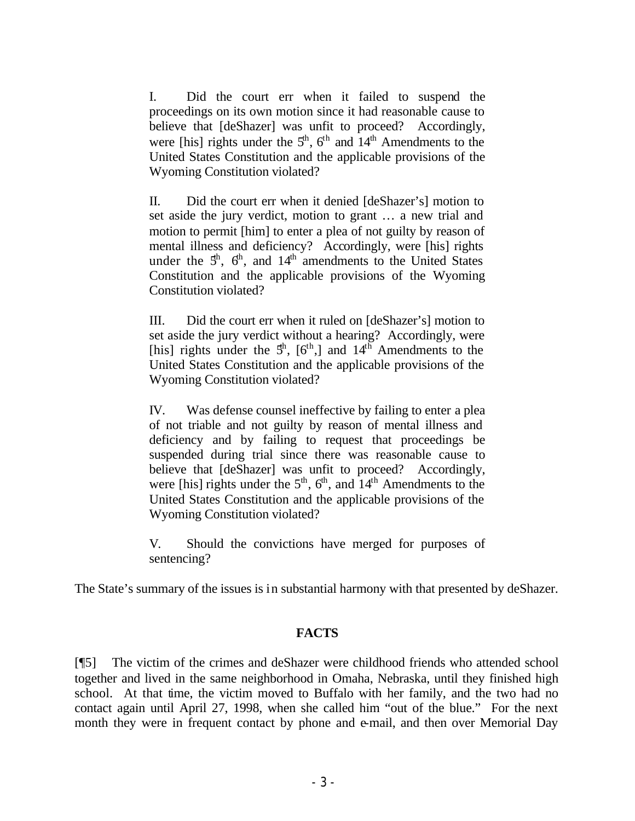I. Did the court err when it failed to suspend the proceedings on its own motion since it had reasonable cause to believe that [deShazer] was unfit to proceed? Accordingly, were [his] rights under the  $5<sup>th</sup>$ ,  $6<sup>th</sup>$  and  $14<sup>th</sup>$  Amendments to the United States Constitution and the applicable provisions of the Wyoming Constitution violated?

II. Did the court err when it denied [deShazer's] motion to set aside the jury verdict, motion to grant … a new trial and motion to permit [him] to enter a plea of not guilty by reason of mental illness and deficiency? Accordingly, were [his] rights under the  $5<sup>h</sup>$ ,  $6<sup>h</sup>$ , and  $14<sup>th</sup>$  amendments to the United States Constitution and the applicable provisions of the Wyoming Constitution violated?

III. Did the court err when it ruled on [deShazer's] motion to set aside the jury verdict without a hearing? Accordingly, were [his] rights under the  $5^h$ , [6<sup>th</sup>,] and 14<sup>th</sup> Amendments to the United States Constitution and the applicable provisions of the Wyoming Constitution violated?

IV. Was defense counsel ineffective by failing to enter a plea of not triable and not guilty by reason of mental illness and deficiency and by failing to request that proceedings be suspended during trial since there was reasonable cause to believe that [deShazer] was unfit to proceed? Accordingly, were [his] rights under the  $5<sup>th</sup>$ ,  $6<sup>th</sup>$ , and  $14<sup>th</sup>$  Amendments to the United States Constitution and the applicable provisions of the Wyoming Constitution violated?

V. Should the convictions have merged for purposes of sentencing?

The State's summary of the issues is in substantial harmony with that presented by deShazer.

# **FACTS**

[¶5] The victim of the crimes and deShazer were childhood friends who attended school together and lived in the same neighborhood in Omaha, Nebraska, until they finished high school. At that time, the victim moved to Buffalo with her family, and the two had no contact again until April 27, 1998, when she called him "out of the blue." For the next month they were in frequent contact by phone and e-mail, and then over Memorial Day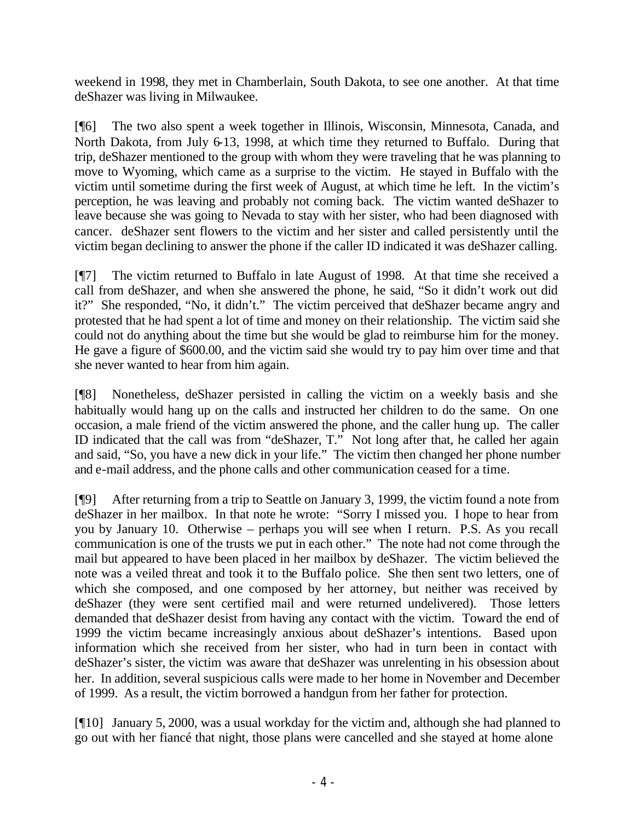weekend in 1998, they met in Chamberlain, South Dakota, to see one another. At that time deShazer was living in Milwaukee.

[¶6] The two also spent a week together in Illinois, Wisconsin, Minnesota, Canada, and North Dakota, from July 6-13, 1998, at which time they returned to Buffalo. During that trip, deShazer mentioned to the group with whom they were traveling that he was planning to move to Wyoming, which came as a surprise to the victim. He stayed in Buffalo with the victim until sometime during the first week of August, at which time he left. In the victim's perception, he was leaving and probably not coming back. The victim wanted deShazer to leave because she was going to Nevada to stay with her sister, who had been diagnosed with cancer. deShazer sent flowers to the victim and her sister and called persistently until the victim began declining to answer the phone if the caller ID indicated it was deShazer calling.

[¶7] The victim returned to Buffalo in late August of 1998. At that time she received a call from deShazer, and when she answered the phone, he said, "So it didn't work out did it?" She responded, "No, it didn't." The victim perceived that deShazer became angry and protested that he had spent a lot of time and money on their relationship. The victim said she could not do anything about the time but she would be glad to reimburse him for the money. He gave a figure of \$600.00, and the victim said she would try to pay him over time and that she never wanted to hear from him again.

[¶8] Nonetheless, deShazer persisted in calling the victim on a weekly basis and she habitually would hang up on the calls and instructed her children to do the same. On one occasion, a male friend of the victim answered the phone, and the caller hung up. The caller ID indicated that the call was from "deShazer, T." Not long after that, he called her again and said, "So, you have a new dick in your life." The victim then changed her phone number and e-mail address, and the phone calls and other communication ceased for a time.

[¶9] After returning from a trip to Seattle on January 3, 1999, the victim found a note from deShazer in her mailbox. In that note he wrote: "Sorry I missed you. I hope to hear from you by January 10. Otherwise – perhaps you will see when I return. P.S. As you recall communication is one of the trusts we put in each other." The note had not come through the mail but appeared to have been placed in her mailbox by deShazer. The victim believed the note was a veiled threat and took it to the Buffalo police. She then sent two letters, one of which she composed, and one composed by her attorney, but neither was received by deShazer (they were sent certified mail and were returned undelivered). Those letters demanded that deShazer desist from having any contact with the victim. Toward the end of 1999 the victim became increasingly anxious about deShazer's intentions. Based upon information which she received from her sister, who had in turn been in contact with deShazer's sister, the victim was aware that deShazer was unrelenting in his obsession about her. In addition, several suspicious calls were made to her home in November and December of 1999. As a result, the victim borrowed a handgun from her father for protection.

[¶10] January 5, 2000, was a usual workday for the victim and, although she had planned to go out with her fiancé that night, those plans were cancelled and she stayed at home alone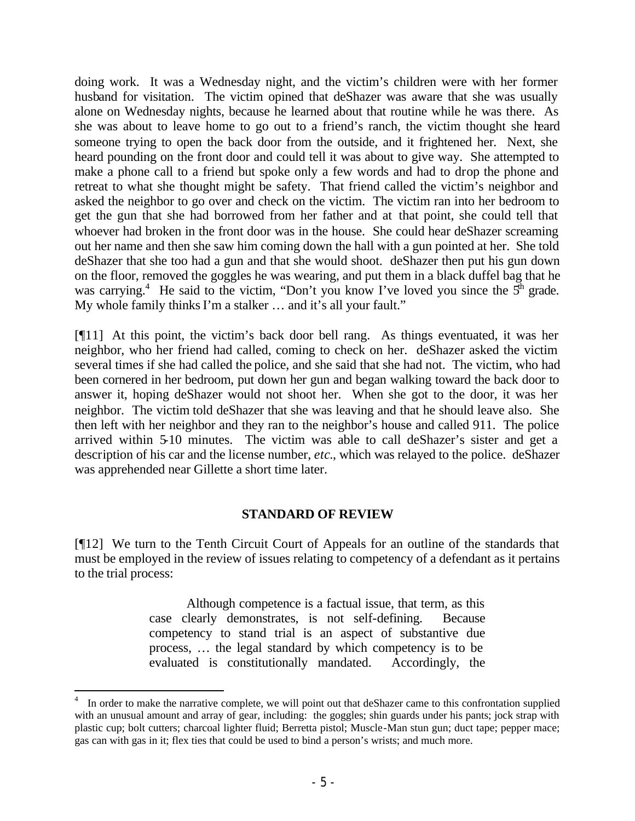doing work. It was a Wednesday night, and the victim's children were with her former husband for visitation. The victim opined that deShazer was aware that she was usually alone on Wednesday nights, because he learned about that routine while he was there. As she was about to leave home to go out to a friend's ranch, the victim thought she heard someone trying to open the back door from the outside, and it frightened her. Next, she heard pounding on the front door and could tell it was about to give way. She attempted to make a phone call to a friend but spoke only a few words and had to drop the phone and retreat to what she thought might be safety. That friend called the victim's neighbor and asked the neighbor to go over and check on the victim. The victim ran into her bedroom to get the gun that she had borrowed from her father and at that point, she could tell that whoever had broken in the front door was in the house. She could hear deShazer screaming out her name and then she saw him coming down the hall with a gun pointed at her. She told deShazer that she too had a gun and that she would shoot. deShazer then put his gun down on the floor, removed the goggles he was wearing, and put them in a black duffel bag that he was carrying.<sup>4</sup> He said to the victim, "Don't you know I've loved you since the  $5<sup>th</sup>$  grade. My whole family thinks I'm a stalker … and it's all your fault."

[¶11] At this point, the victim's back door bell rang. As things eventuated, it was her neighbor, who her friend had called, coming to check on her. deShazer asked the victim several times if she had called the police, and she said that she had not. The victim, who had been cornered in her bedroom, put down her gun and began walking toward the back door to answer it, hoping deShazer would not shoot her. When she got to the door, it was her neighbor. The victim told deShazer that she was leaving and that he should leave also. She then left with her neighbor and they ran to the neighbor's house and called 911. The police arrived within 5-10 minutes. The victim was able to call deShazer's sister and get a description of his car and the license number, *etc*., which was relayed to the police. deShazer was apprehended near Gillette a short time later.

## **STANDARD OF REVIEW**

[¶12] We turn to the Tenth Circuit Court of Appeals for an outline of the standards that must be employed in the review of issues relating to competency of a defendant as it pertains to the trial process:

> Although competence is a factual issue, that term, as this case clearly demonstrates, is not self-defining. Because competency to stand trial is an aspect of substantive due process, … the legal standard by which competency is to be evaluated is constitutionally mandated. Accordingly, the

<sup>4</sup> In order to make the narrative complete, we will point out that deShazer came to this confrontation supplied with an unusual amount and array of gear, including: the goggles; shin guards under his pants; jock strap with plastic cup; bolt cutters; charcoal lighter fluid; Berretta pistol; Muscle-Man stun gun; duct tape; pepper mace; gas can with gas in it; flex ties that could be used to bind a person's wrists; and much more.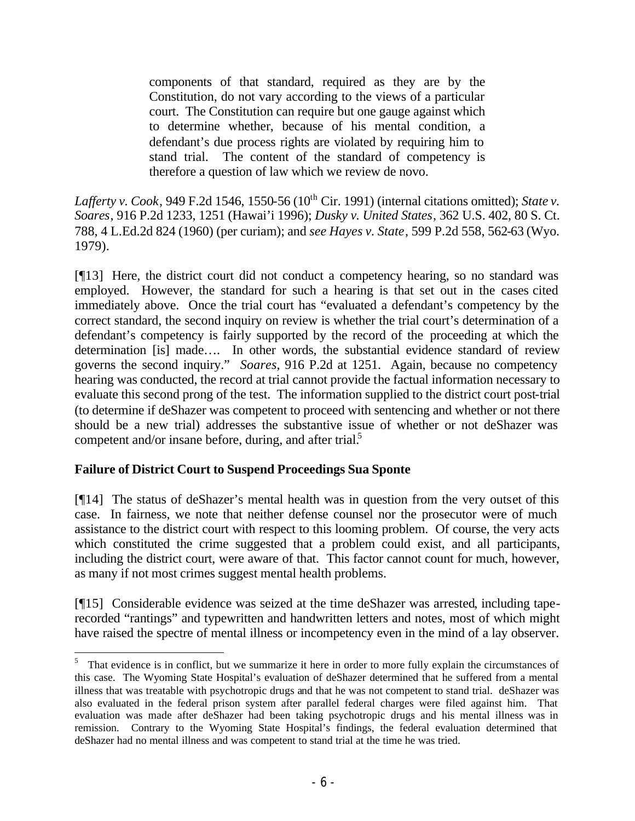components of that standard, required as they are by the Constitution, do not vary according to the views of a particular court. The Constitution can require but one gauge against which to determine whether, because of his mental condition, a defendant's due process rights are violated by requiring him to stand trial. The content of the standard of competency is therefore a question of law which we review de novo.

*Lafferty v. Cook*, 949 F.2d 1546, 1550-56 (10<sup>th</sup> Cir. 1991) (internal citations omitted); *State v. Soares*, 916 P.2d 1233, 1251 (Hawai'i 1996); *Dusky v. United States*, 362 U.S. 402, 80 S. Ct. 788, 4 L.Ed.2d 824 (1960) (per curiam); and *see Hayes v. State*, 599 P.2d 558, 562-63 (Wyo. 1979).

[¶13] Here, the district court did not conduct a competency hearing, so no standard was employed. However, the standard for such a hearing is that set out in the cases cited immediately above. Once the trial court has "evaluated a defendant's competency by the correct standard, the second inquiry on review is whether the trial court's determination of a defendant's competency is fairly supported by the record of the proceeding at which the determination [is] made…. In other words, the substantial evidence standard of review governs the second inquiry." *Soares*, 916 P.2d at 1251. Again, because no competency hearing was conducted, the record at trial cannot provide the factual information necessary to evaluate this second prong of the test. The information supplied to the district court post-trial (to determine if deShazer was competent to proceed with sentencing and whether or not there should be a new trial) addresses the substantive issue of whether or not deShazer was competent and/or insane before, during, and after trial.<sup>5</sup>

# **Failure of District Court to Suspend Proceedings Sua Sponte**

[¶14] The status of deShazer's mental health was in question from the very outset of this case. In fairness, we note that neither defense counsel nor the prosecutor were of much assistance to the district court with respect to this looming problem. Of course, the very acts which constituted the crime suggested that a problem could exist, and all participants, including the district court, were aware of that. This factor cannot count for much, however, as many if not most crimes suggest mental health problems.

[¶15] Considerable evidence was seized at the time deShazer was arrested, including taperecorded "rantings" and typewritten and handwritten letters and notes, most of which might have raised the spectre of mental illness or incompetency even in the mind of a lay observer.

<sup>5</sup> That evidence is in conflict, but we summarize it here in order to more fully explain the circumstances of this case. The Wyoming State Hospital's evaluation of deShazer determined that he suffered from a mental illness that was treatable with psychotropic drugs and that he was not competent to stand trial. deShazer was also evaluated in the federal prison system after parallel federal charges were filed against him. That evaluation was made after deShazer had been taking psychotropic drugs and his mental illness was in remission. Contrary to the Wyoming State Hospital's findings, the federal evaluation determined that deShazer had no mental illness and was competent to stand trial at the time he was tried.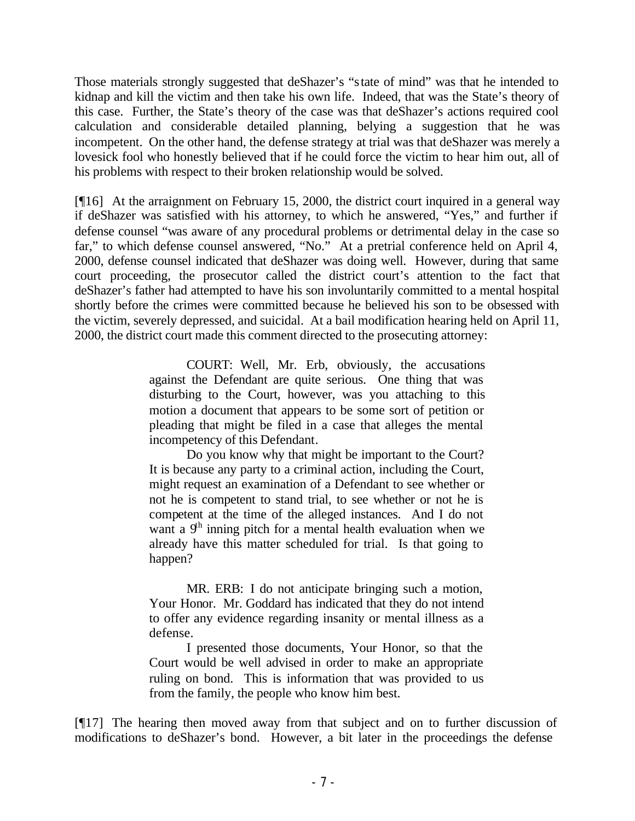Those materials strongly suggested that deShazer's "state of mind" was that he intended to kidnap and kill the victim and then take his own life. Indeed, that was the State's theory of this case. Further, the State's theory of the case was that deShazer's actions required cool calculation and considerable detailed planning, belying a suggestion that he was incompetent. On the other hand, the defense strategy at trial was that deShazer was merely a lovesick fool who honestly believed that if he could force the victim to hear him out, all of his problems with respect to their broken relationship would be solved.

[¶16] At the arraignment on February 15, 2000, the district court inquired in a general way if deShazer was satisfied with his attorney, to which he answered, "Yes," and further if defense counsel "was aware of any procedural problems or detrimental delay in the case so far," to which defense counsel answered, "No." At a pretrial conference held on April 4, 2000, defense counsel indicated that deShazer was doing well. However, during that same court proceeding, the prosecutor called the district court's attention to the fact that deShazer's father had attempted to have his son involuntarily committed to a mental hospital shortly before the crimes were committed because he believed his son to be obsessed with the victim, severely depressed, and suicidal. At a bail modification hearing held on April 11, 2000, the district court made this comment directed to the prosecuting attorney:

> COURT: Well, Mr. Erb, obviously, the accusations against the Defendant are quite serious. One thing that was disturbing to the Court, however, was you attaching to this motion a document that appears to be some sort of petition or pleading that might be filed in a case that alleges the mental incompetency of this Defendant.

> Do you know why that might be important to the Court? It is because any party to a criminal action, including the Court, might request an examination of a Defendant to see whether or not he is competent to stand trial, to see whether or not he is competent at the time of the alleged instances. And I do not want a  $9<sup>h</sup>$  inning pitch for a mental health evaluation when we already have this matter scheduled for trial. Is that going to happen?

> MR. ERB: I do not anticipate bringing such a motion, Your Honor. Mr. Goddard has indicated that they do not intend to offer any evidence regarding insanity or mental illness as a defense.

> I presented those documents, Your Honor, so that the Court would be well advised in order to make an appropriate ruling on bond. This is information that was provided to us from the family, the people who know him best.

[¶17] The hearing then moved away from that subject and on to further discussion of modifications to deShazer's bond. However, a bit later in the proceedings the defense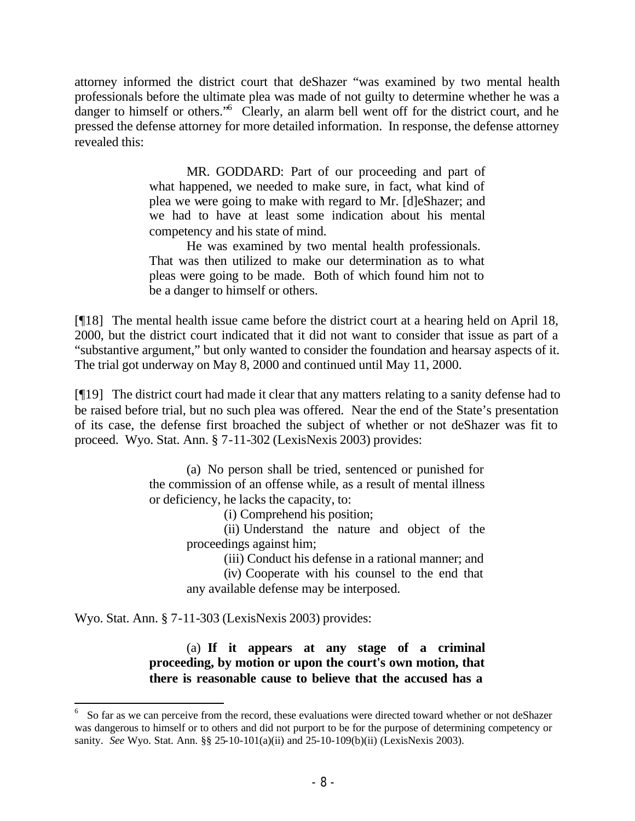attorney informed the district court that deShazer "was examined by two mental health professionals before the ultimate plea was made of not guilty to determine whether he was a danger to himself or others."<sup>6</sup> Clearly, an alarm bell went off for the district court, and he pressed the defense attorney for more detailed information. In response, the defense attorney revealed this:

> MR. GODDARD: Part of our proceeding and part of what happened, we needed to make sure, in fact, what kind of plea we were going to make with regard to Mr. [d]eShazer; and we had to have at least some indication about his mental competency and his state of mind.

> He was examined by two mental health professionals. That was then utilized to make our determination as to what pleas were going to be made. Both of which found him not to be a danger to himself or others.

[¶18] The mental health issue came before the district court at a hearing held on April 18, 2000, but the district court indicated that it did not want to consider that issue as part of a "substantive argument," but only wanted to consider the foundation and hearsay aspects of it. The trial got underway on May 8, 2000 and continued until May 11, 2000.

[¶19] The district court had made it clear that any matters relating to a sanity defense had to be raised before trial, but no such plea was offered. Near the end of the State's presentation of its case, the defense first broached the subject of whether or not deShazer was fit to proceed. Wyo. Stat. Ann. § 7-11-302 (LexisNexis 2003) provides:

> (a) No person shall be tried, sentenced or punished for the commission of an offense while, as a result of mental illness or deficiency, he lacks the capacity, to:

(i) Comprehend his position;

(ii) Understand the nature and object of the proceedings against him;

(iii) Conduct his defense in a rational manner; and

(iv) Cooperate with his counsel to the end that any available defense may be interposed.

Wyo. Stat. Ann. § 7-11-303 (LexisNexis 2003) provides:

(a) **If it appears at any stage of a criminal proceeding, by motion or upon the court's own motion, that there is reasonable cause to believe that the accused has a** 

<sup>6</sup> So far as we can perceive from the record, these evaluations were directed toward whether or not deShazer was dangerous to himself or to others and did not purport to be for the purpose of determining competency or sanity. *See* Wyo. Stat. Ann. §§ 25-10-101(a)(ii) and 25-10-109(b)(ii) (LexisNexis 2003).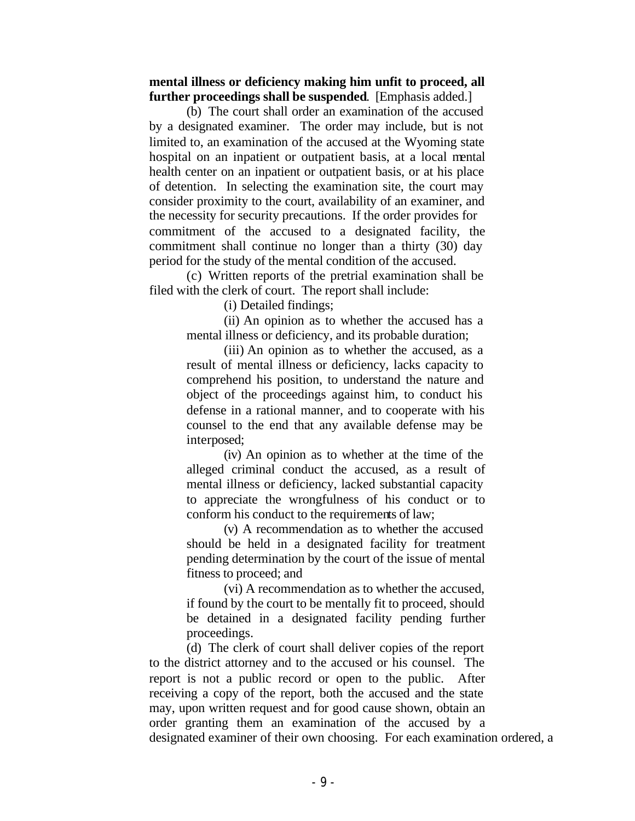### **mental illness or deficiency making him unfit to proceed, all further proceedings shall be suspended**. [Emphasis added.]

(b) The court shall order an examination of the accused by a designated examiner. The order may include, but is not limited to, an examination of the accused at the Wyoming state hospital on an inpatient or outpatient basis, at a local mental health center on an inpatient or outpatient basis, or at his place of detention. In selecting the examination site, the court may consider proximity to the court, availability of an examiner, and the necessity for security precautions. If the order provides for commitment of the accused to a designated facility, the commitment shall continue no longer than a thirty (30) day period for the study of the mental condition of the accused.

(c) Written reports of the pretrial examination shall be filed with the clerk of court. The report shall include:

(i) Detailed findings;

(ii) An opinion as to whether the accused has a mental illness or deficiency, and its probable duration;

(iii) An opinion as to whether the accused, as a result of mental illness or deficiency, lacks capacity to comprehend his position, to understand the nature and object of the proceedings against him, to conduct his defense in a rational manner, and to cooperate with his counsel to the end that any available defense may be interposed;

(iv) An opinion as to whether at the time of the alleged criminal conduct the accused, as a result of mental illness or deficiency, lacked substantial capacity to appreciate the wrongfulness of his conduct or to conform his conduct to the requirements of law;

(v) A recommendation as to whether the accused should be held in a designated facility for treatment pending determination by the court of the issue of mental fitness to proceed; and

(vi) A recommendation as to whether the accused, if found by the court to be mentally fit to proceed, should be detained in a designated facility pending further proceedings.

(d) The clerk of court shall deliver copies of the report to the district attorney and to the accused or his counsel. The report is not a public record or open to the public. After receiving a copy of the report, both the accused and the state may, upon written request and for good cause shown, obtain an order granting them an examination of the accused by a designated examiner of their own choosing. For each examination ordered, a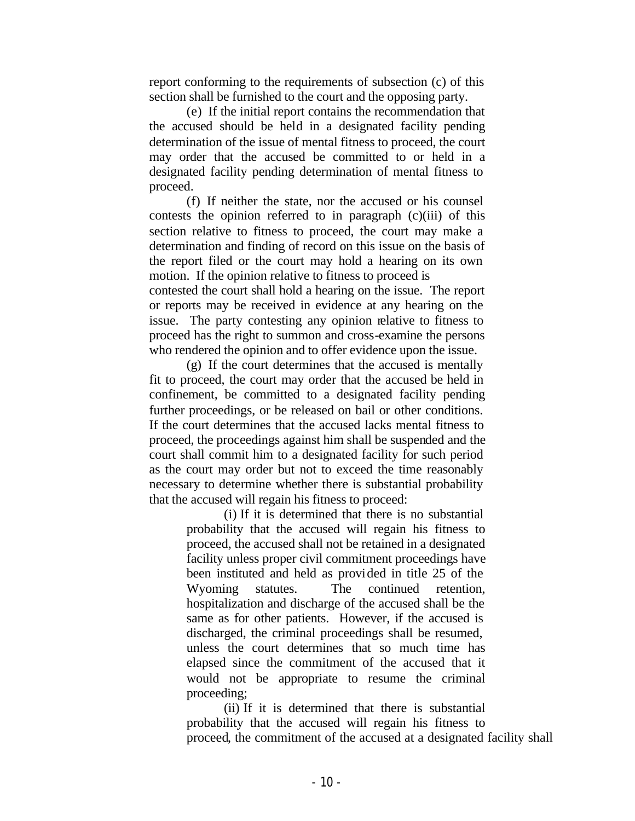report conforming to the requirements of subsection (c) of this section shall be furnished to the court and the opposing party.

(e) If the initial report contains the recommendation that the accused should be held in a designated facility pending determination of the issue of mental fitness to proceed, the court may order that the accused be committed to or held in a designated facility pending determination of mental fitness to proceed.

(f) If neither the state, nor the accused or his counsel contests the opinion referred to in paragraph (c)(iii) of this section relative to fitness to proceed, the court may make a determination and finding of record on this issue on the basis of the report filed or the court may hold a hearing on its own motion. If the opinion relative to fitness to proceed is

contested the court shall hold a hearing on the issue. The report or reports may be received in evidence at any hearing on the issue. The party contesting any opinion relative to fitness to proceed has the right to summon and cross-examine the persons who rendered the opinion and to offer evidence upon the issue.

(g) If the court determines that the accused is mentally fit to proceed, the court may order that the accused be held in confinement, be committed to a designated facility pending further proceedings, or be released on bail or other conditions. If the court determines that the accused lacks mental fitness to proceed, the proceedings against him shall be suspended and the court shall commit him to a designated facility for such period as the court may order but not to exceed the time reasonably necessary to determine whether there is substantial probability that the accused will regain his fitness to proceed:

> (i) If it is determined that there is no substantial probability that the accused will regain his fitness to proceed, the accused shall not be retained in a designated facility unless proper civil commitment proceedings have been instituted and held as provided in title 25 of the Wyoming statutes. The continued retention, hospitalization and discharge of the accused shall be the same as for other patients. However, if the accused is discharged, the criminal proceedings shall be resumed, unless the court determines that so much time has elapsed since the commitment of the accused that it would not be appropriate to resume the criminal proceeding;

(ii) If it is determined that there is substantial probability that the accused will regain his fitness to proceed, the commitment of the accused at a designated facility shall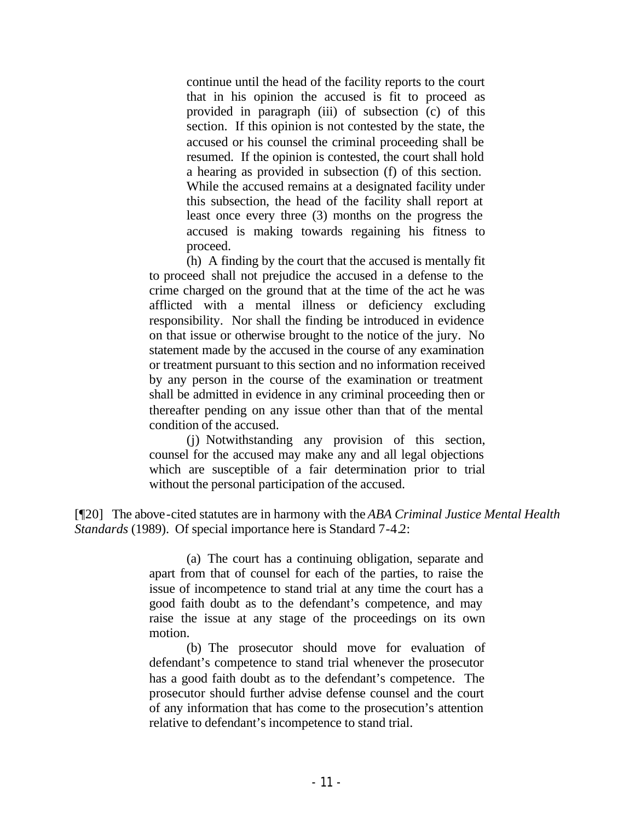continue until the head of the facility reports to the court that in his opinion the accused is fit to proceed as provided in paragraph (iii) of subsection (c) of this section. If this opinion is not contested by the state, the accused or his counsel the criminal proceeding shall be resumed. If the opinion is contested, the court shall hold a hearing as provided in subsection (f) of this section. While the accused remains at a designated facility under this subsection, the head of the facility shall report at least once every three (3) months on the progress the accused is making towards regaining his fitness to proceed.

(h) A finding by the court that the accused is mentally fit to proceed shall not prejudice the accused in a defense to the crime charged on the ground that at the time of the act he was afflicted with a mental illness or deficiency excluding responsibility. Nor shall the finding be introduced in evidence on that issue or otherwise brought to the notice of the jury. No statement made by the accused in the course of any examination or treatment pursuant to this section and no information received by any person in the course of the examination or treatment shall be admitted in evidence in any criminal proceeding then or thereafter pending on any issue other than that of the mental condition of the accused.

(j) Notwithstanding any provision of this section, counsel for the accused may make any and all legal objections which are susceptible of a fair determination prior to trial without the personal participation of the accused.

[¶20] The above-cited statutes are in harmony with the *ABA Criminal Justice Mental Health Standards* (1989). Of special importance here is Standard 7-4.2:

> (a) The court has a continuing obligation, separate and apart from that of counsel for each of the parties, to raise the issue of incompetence to stand trial at any time the court has a good faith doubt as to the defendant's competence, and may raise the issue at any stage of the proceedings on its own motion.

> (b) The prosecutor should move for evaluation of defendant's competence to stand trial whenever the prosecutor has a good faith doubt as to the defendant's competence. The prosecutor should further advise defense counsel and the court of any information that has come to the prosecution's attention relative to defendant's incompetence to stand trial.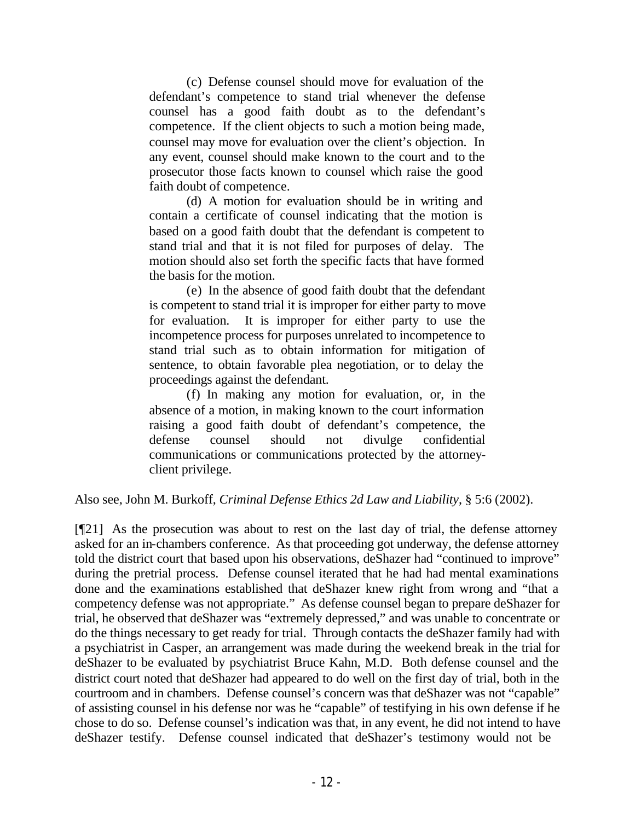(c) Defense counsel should move for evaluation of the defendant's competence to stand trial whenever the defense counsel has a good faith doubt as to the defendant's competence. If the client objects to such a motion being made, counsel may move for evaluation over the client's objection. In any event, counsel should make known to the court and to the prosecutor those facts known to counsel which raise the good faith doubt of competence.

(d) A motion for evaluation should be in writing and contain a certificate of counsel indicating that the motion is based on a good faith doubt that the defendant is competent to stand trial and that it is not filed for purposes of delay. The motion should also set forth the specific facts that have formed the basis for the motion.

(e) In the absence of good faith doubt that the defendant is competent to stand trial it is improper for either party to move for evaluation. It is improper for either party to use the incompetence process for purposes unrelated to incompetence to stand trial such as to obtain information for mitigation of sentence, to obtain favorable plea negotiation, or to delay the proceedings against the defendant.

(f) In making any motion for evaluation, or, in the absence of a motion, in making known to the court information raising a good faith doubt of defendant's competence, the defense counsel should not divulge confidential communications or communications protected by the attorneyclient privilege.

Also see, John M. Burkoff, *Criminal Defense Ethics 2d Law and Liability*, § 5:6 (2002).

[¶21] As the prosecution was about to rest on the last day of trial, the defense attorney asked for an in-chambers conference. As that proceeding got underway, the defense attorney told the district court that based upon his observations, deShazer had "continued to improve" during the pretrial process. Defense counsel iterated that he had had mental examinations done and the examinations established that deShazer knew right from wrong and "that a competency defense was not appropriate." As defense counsel began to prepare deShazer for trial, he observed that deShazer was "extremely depressed," and was unable to concentrate or do the things necessary to get ready for trial. Through contacts the deShazer family had with a psychiatrist in Casper, an arrangement was made during the weekend break in the trial for deShazer to be evaluated by psychiatrist Bruce Kahn, M.D. Both defense counsel and the district court noted that deShazer had appeared to do well on the first day of trial, both in the courtroom and in chambers. Defense counsel's concern was that deShazer was not "capable" of assisting counsel in his defense nor was he "capable" of testifying in his own defense if he chose to do so. Defense counsel's indication was that, in any event, he did not intend to have deShazer testify. Defense counsel indicated that deShazer's testimony would not be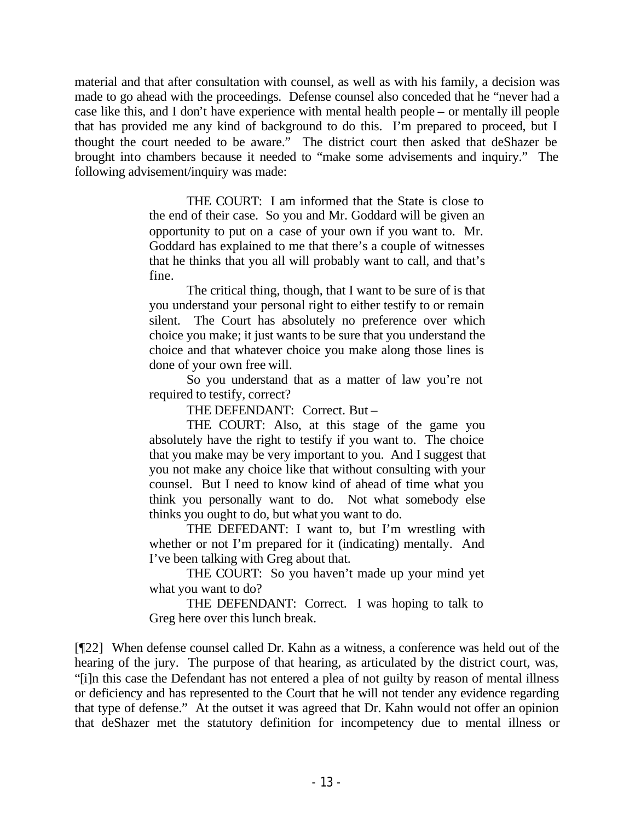material and that after consultation with counsel, as well as with his family, a decision was made to go ahead with the proceedings. Defense counsel also conceded that he "never had a case like this, and I don't have experience with mental health people – or mentally ill people that has provided me any kind of background to do this. I'm prepared to proceed, but I thought the court needed to be aware." The district court then asked that deShazer be brought into chambers because it needed to "make some advisements and inquiry." The following advisement/inquiry was made:

> THE COURT: I am informed that the State is close to the end of their case. So you and Mr. Goddard will be given an opportunity to put on a case of your own if you want to. Mr. Goddard has explained to me that there's a couple of witnesses that he thinks that you all will probably want to call, and that's fine.

> The critical thing, though, that I want to be sure of is that you understand your personal right to either testify to or remain silent. The Court has absolutely no preference over which choice you make; it just wants to be sure that you understand the choice and that whatever choice you make along those lines is done of your own free will.

So you understand that as a matter of law you're not required to testify, correct?

THE DEFENDANT: Correct. But –

THE COURT: Also, at this stage of the game you absolutely have the right to testify if you want to. The choice that you make may be very important to you. And I suggest that you not make any choice like that without consulting with your counsel. But I need to know kind of ahead of time what you think you personally want to do. Not what somebody else thinks you ought to do, but what you want to do.

THE DEFEDANT: I want to, but I'm wrestling with whether or not I'm prepared for it (indicating) mentally. And I've been talking with Greg about that.

THE COURT: So you haven't made up your mind yet what you want to do?

THE DEFENDANT: Correct. I was hoping to talk to Greg here over this lunch break.

[¶22] When defense counsel called Dr. Kahn as a witness, a conference was held out of the hearing of the jury. The purpose of that hearing, as articulated by the district court, was, "[i]n this case the Defendant has not entered a plea of not guilty by reason of mental illness or deficiency and has represented to the Court that he will not tender any evidence regarding that type of defense." At the outset it was agreed that Dr. Kahn would not offer an opinion that deShazer met the statutory definition for incompetency due to mental illness or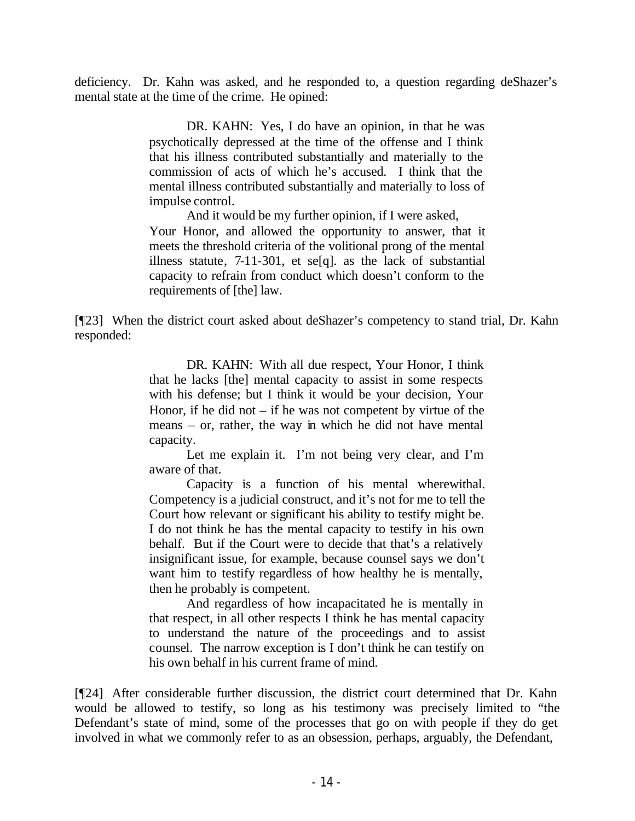deficiency. Dr. Kahn was asked, and he responded to, a question regarding deShazer's mental state at the time of the crime. He opined:

> DR. KAHN: Yes, I do have an opinion, in that he was psychotically depressed at the time of the offense and I think that his illness contributed substantially and materially to the commission of acts of which he's accused. I think that the mental illness contributed substantially and materially to loss of impulse control.

And it would be my further opinion, if I were asked,

Your Honor, and allowed the opportunity to answer, that it meets the threshold criteria of the volitional prong of the mental illness statute, 7-11-301, et se[q]. as the lack of substantial capacity to refrain from conduct which doesn't conform to the requirements of [the] law.

[¶23] When the district court asked about deShazer's competency to stand trial, Dr. Kahn responded:

> DR. KAHN: With all due respect, Your Honor, I think that he lacks [the] mental capacity to assist in some respects with his defense; but I think it would be your decision, Your Honor, if he did not  $-$  if he was not competent by virtue of the means – or, rather, the way in which he did not have mental capacity.

> Let me explain it. I'm not being very clear, and I'm aware of that.

> Capacity is a function of his mental wherewithal. Competency is a judicial construct, and it's not for me to tell the Court how relevant or significant his ability to testify might be. I do not think he has the mental capacity to testify in his own behalf. But if the Court were to decide that that's a relatively insignificant issue, for example, because counsel says we don't want him to testify regardless of how healthy he is mentally, then he probably is competent.

> And regardless of how incapacitated he is mentally in that respect, in all other respects I think he has mental capacity to understand the nature of the proceedings and to assist counsel. The narrow exception is I don't think he can testify on his own behalf in his current frame of mind.

[¶24] After considerable further discussion, the district court determined that Dr. Kahn would be allowed to testify, so long as his testimony was precisely limited to "the Defendant's state of mind, some of the processes that go on with people if they do get involved in what we commonly refer to as an obsession, perhaps, arguably, the Defendant,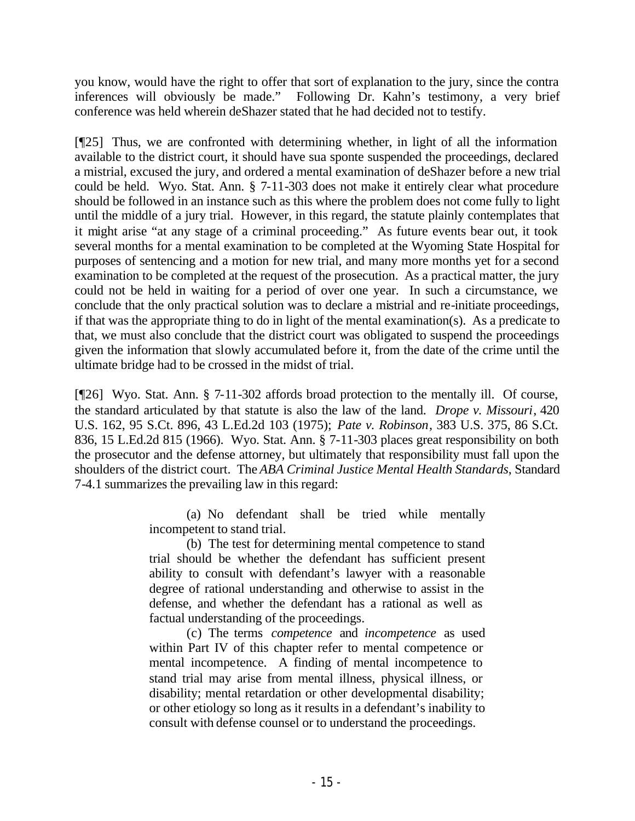you know, would have the right to offer that sort of explanation to the jury, since the contra inferences will obviously be made." Following Dr. Kahn's testimony, a very brief conference was held wherein deShazer stated that he had decided not to testify.

[¶25] Thus, we are confronted with determining whether, in light of all the information available to the district court, it should have sua sponte suspended the proceedings, declared a mistrial, excused the jury, and ordered a mental examination of deShazer before a new trial could be held. Wyo. Stat. Ann. § 7-11-303 does not make it entirely clear what procedure should be followed in an instance such as this where the problem does not come fully to light until the middle of a jury trial. However, in this regard, the statute plainly contemplates that it might arise "at any stage of a criminal proceeding." As future events bear out, it took several months for a mental examination to be completed at the Wyoming State Hospital for purposes of sentencing and a motion for new trial, and many more months yet for a second examination to be completed at the request of the prosecution. As a practical matter, the jury could not be held in waiting for a period of over one year. In such a circumstance, we conclude that the only practical solution was to declare a mistrial and re-initiate proceedings, if that was the appropriate thing to do in light of the mental examination(s). As a predicate to that, we must also conclude that the district court was obligated to suspend the proceedings given the information that slowly accumulated before it, from the date of the crime until the ultimate bridge had to be crossed in the midst of trial.

[¶26] Wyo. Stat. Ann. § 7-11-302 affords broad protection to the mentally ill. Of course, the standard articulated by that statute is also the law of the land. *Drope v. Missouri*, 420 U.S. 162, 95 S.Ct. 896, 43 L.Ed.2d 103 (1975); *Pate v. Robinson*, 383 U.S. 375, 86 S.Ct. 836, 15 L.Ed.2d 815 (1966). Wyo. Stat. Ann. § 7-11-303 places great responsibility on both the prosecutor and the defense attorney, but ultimately that responsibility must fall upon the shoulders of the district court. The *ABA Criminal Justice Mental Health Standards*, Standard 7-4.1 summarizes the prevailing law in this regard:

> (a) No defendant shall be tried while mentally incompetent to stand trial.

> (b) The test for determining mental competence to stand trial should be whether the defendant has sufficient present ability to consult with defendant's lawyer with a reasonable degree of rational understanding and otherwise to assist in the defense, and whether the defendant has a rational as well as factual understanding of the proceedings.

> (c) The terms *competence* and *incompetence* as used within Part IV of this chapter refer to mental competence or mental incompetence. A finding of mental incompetence to stand trial may arise from mental illness, physical illness, or disability; mental retardation or other developmental disability; or other etiology so long as it results in a defendant's inability to consult with defense counsel or to understand the proceedings.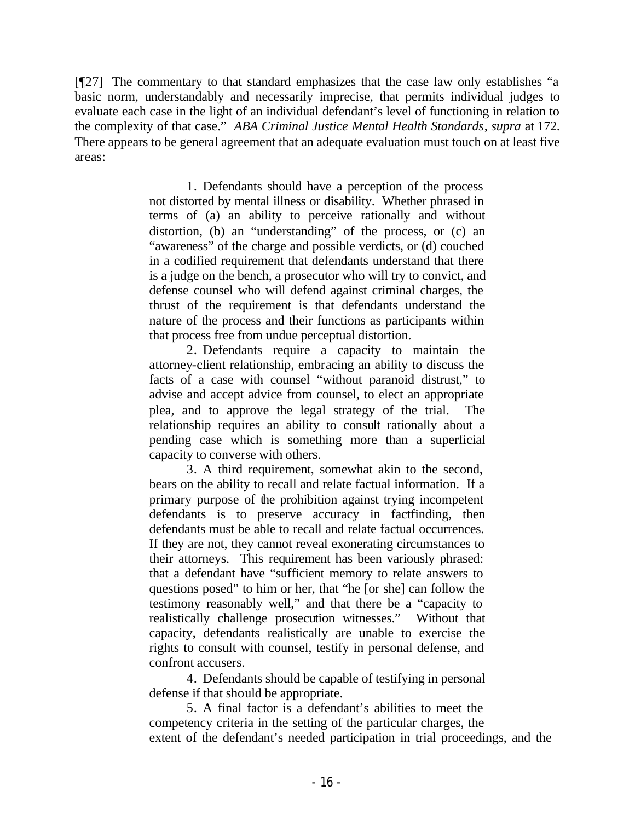[¶27] The commentary to that standard emphasizes that the case law only establishes "a basic norm, understandably and necessarily imprecise, that permits individual judges to evaluate each case in the light of an individual defendant's level of functioning in relation to the complexity of that case." *ABA Criminal Justice Mental Health Standards*, *supra* at 172. There appears to be general agreement that an adequate evaluation must touch on at least five areas:

> 1. Defendants should have a perception of the process not distorted by mental illness or disability. Whether phrased in terms of (a) an ability to perceive rationally and without distortion, (b) an "understanding" of the process, or (c) an "awareness" of the charge and possible verdicts, or (d) couched in a codified requirement that defendants understand that there is a judge on the bench, a prosecutor who will try to convict, and defense counsel who will defend against criminal charges, the thrust of the requirement is that defendants understand the nature of the process and their functions as participants within that process free from undue perceptual distortion.

> 2. Defendants require a capacity to maintain the attorney-client relationship, embracing an ability to discuss the facts of a case with counsel "without paranoid distrust," to advise and accept advice from counsel, to elect an appropriate plea, and to approve the legal strategy of the trial. The relationship requires an ability to consult rationally about a pending case which is something more than a superficial capacity to converse with others.

> 3. A third requirement, somewhat akin to the second, bears on the ability to recall and relate factual information. If a primary purpose of the prohibition against trying incompetent defendants is to preserve accuracy in factfinding, then defendants must be able to recall and relate factual occurrences. If they are not, they cannot reveal exonerating circumstances to their attorneys. This requirement has been variously phrased: that a defendant have "sufficient memory to relate answers to questions posed" to him or her, that "he [or she] can follow the testimony reasonably well," and that there be a "capacity to realistically challenge prosecution witnesses." Without that capacity, defendants realistically are unable to exercise the rights to consult with counsel, testify in personal defense, and confront accusers.

> 4. Defendants should be capable of testifying in personal defense if that should be appropriate.

5. A final factor is a defendant's abilities to meet the competency criteria in the setting of the particular charges, the extent of the defendant's needed participation in trial proceedings, and the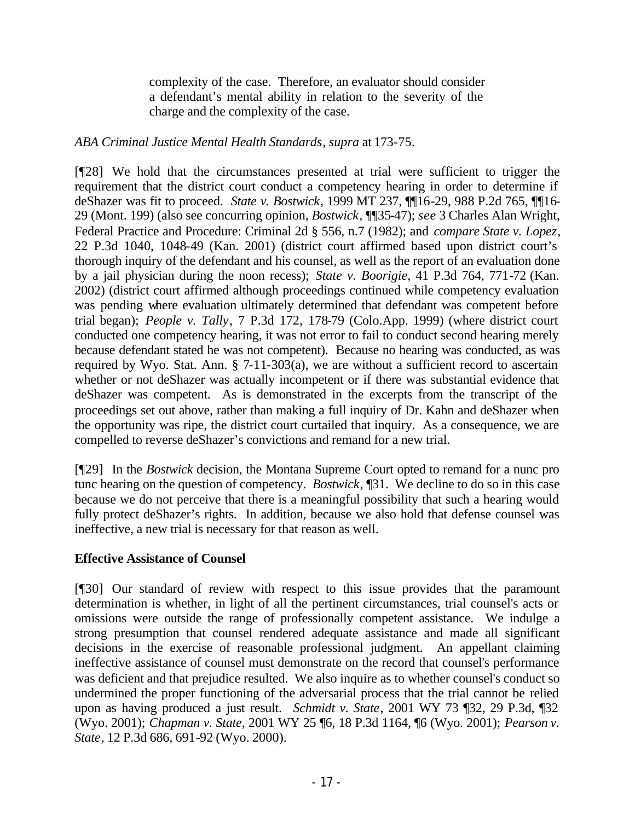complexity of the case. Therefore, an evaluator should consider a defendant's mental ability in relation to the severity of the charge and the complexity of the case.

# *ABA Criminal Justice Mental Health Standards*, *supra* at 173-75.

[¶28] We hold that the circumstances presented at trial were sufficient to trigger the requirement that the district court conduct a competency hearing in order to determine if deShazer was fit to proceed. *State v. Bostwick*, 1999 MT 237, ¶¶16-29, 988 P.2d 765, ¶¶16- 29 (Mont. 199) (also see concurring opinion, *Bostwick*, ¶¶35-47); *see* 3 Charles Alan Wright, Federal Practice and Procedure: Criminal 2d § 556, n.7 (1982); and *compare State v. Lopez*, 22 P.3d 1040, 1048-49 (Kan. 2001) (district court affirmed based upon district court's thorough inquiry of the defendant and his counsel, as well as the report of an evaluation done by a jail physician during the noon recess); *State v. Boorigie*, 41 P.3d 764, 771-72 (Kan. 2002) (district court affirmed although proceedings continued while competency evaluation was pending where evaluation ultimately determined that defendant was competent before trial began); *People v. Tally*, 7 P.3d 172, 178-79 (Colo.App. 1999) (where district court conducted one competency hearing, it was not error to fail to conduct second hearing merely because defendant stated he was not competent). Because no hearing was conducted, as was required by Wyo. Stat. Ann. § 7-11-303(a), we are without a sufficient record to ascertain whether or not deShazer was actually incompetent or if there was substantial evidence that deShazer was competent. As is demonstrated in the excerpts from the transcript of the proceedings set out above, rather than making a full inquiry of Dr. Kahn and deShazer when the opportunity was ripe, the district court curtailed that inquiry. As a consequence, we are compelled to reverse deShazer's convictions and remand for a new trial.

[¶29] In the *Bostwick* decision, the Montana Supreme Court opted to remand for a nunc pro tunc hearing on the question of competency. *Bostwick*, ¶31. We decline to do so in this case because we do not perceive that there is a meaningful possibility that such a hearing would fully protect deShazer's rights. In addition, because we also hold that defense counsel was ineffective, a new trial is necessary for that reason as well.

# **Effective Assistance of Counsel**

[¶30] Our standard of review with respect to this issue provides that the paramount determination is whether, in light of all the pertinent circumstances, trial counsel's acts or omissions were outside the range of professionally competent assistance. We indulge a strong presumption that counsel rendered adequate assistance and made all significant decisions in the exercise of reasonable professional judgment. An appellant claiming ineffective assistance of counsel must demonstrate on the record that counsel's performance was deficient and that prejudice resulted. We also inquire as to whether counsel's conduct so undermined the proper functioning of the adversarial process that the trial cannot be relied upon as having produced a just result. *Schmidt v. State*, 2001 WY 73 ¶32, 29 P.3d, ¶32 (Wyo. 2001); *Chapman v. State*, 2001 WY 25 ¶6, 18 P.3d 1164, ¶6 (Wyo. 2001); *Pearson v. State*, 12 P.3d 686, 691-92 (Wyo. 2000).